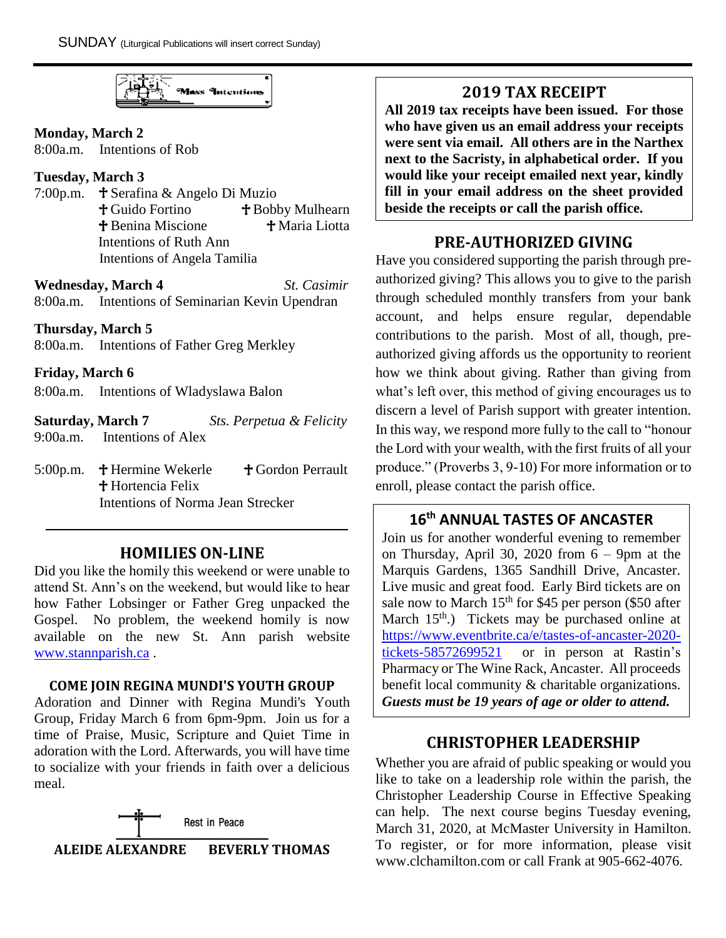**Mass Intentions** 

### **Monday, March 2**

8:00a.m. Intentions of Rob

### **Tuesday, March 3**

7:00p.m.  $\mathbf{\hat{f}}$  Serafina & Angelo Di Muzio <sup>†</sup> Guido Fortino <sup>†</sup> Bobby Mulhearn **T** Benina Miscione **T** Maria Liotta Intentions of Ruth Ann Intentions of Angela Tamilia

**Wednesday, March 4** *St. Casimir* 8:00a.m. Intentions of Seminarian Kevin Upendran

### **Thursday, March 5**

8:00a.m. Intentions of Father Greg Merkley

### **Friday, March 6**

8:00a.m. Intentions of Wladyslawa Balon

| <b>Saturday, March 7</b> |                    |  | Sts. Perpetua & Felicity |
|--------------------------|--------------------|--|--------------------------|
| 9:00a.m.                 | Intentions of Alex |  |                          |

5:00p.m.  $\mathbf{\hat{f}}$  Hermine Wekerle  $\mathbf{\hat{f}}$  Gordon Perrault **†** Hortencia Felix Intentions of Norma Jean Strecker

## **HOMILIES ON-LINE**

Did you like the homily this weekend or were unable to attend St. Ann's on the weekend, but would like to hear how Father Lobsinger or Father Greg unpacked the Gospel. No problem, the weekend homily is now available on the new St. Ann parish website [www.stannparish.ca](http://www.stannparish.ca/) .

### **COME JOIN REGINA MUNDI'S YOUTH GROUP**

Adoration and Dinner with Regina Mundi's Youth Group, Friday March 6 from 6pm-9pm. Join us for a time of Praise, Music, Scripture and Quiet Time in adoration with the Lord. Afterwards, you will have time to socialize with your friends in faith over a delicious meal.



# **2019 TAX RECEIPT**

**All 2019 tax receipts have been issued. For those who have given us an email address your receipts were sent via email. All others are in the Narthex next to the Sacristy, in alphabetical order. If you would like your receipt emailed next year, kindly fill in your email address on the sheet provided beside the receipts or call the parish office.**

# **PRE-AUTHORIZED GIVING**

Have you considered supporting the parish through preauthorized giving? This allows you to give to the parish through scheduled monthly transfers from your bank account, and helps ensure regular, dependable contributions to the parish. Most of all, though, preauthorized giving affords us the opportunity to reorient how we think about giving. Rather than giving from what's left over, this method of giving encourages us to discern a level of Parish support with greater intention. In this way, we respond more fully to the call to "honour the Lord with your wealth, with the first fruits of all your produce." (Proverbs 3, 9-10) For more information or to enroll, please contact the parish office.

# **16th ANNUAL TASTES OF ANCASTER**

Join us for another wonderful evening to remember on Thursday, April 30, 2020 from 6 – 9pm at the Marquis Gardens, 1365 Sandhill Drive, Ancaster. Live music and great food. Early Bird tickets are on sale now to March  $15<sup>th</sup>$  for \$45 per person (\$50 after March  $15<sup>th</sup>$ .) Tickets may be purchased online at [https://www.eventbrite.ca/e/tastes-of-ancaster-2020](https://www.eventbrite.ca/e/tastes-of-ancaster-2020-tickets-58572699521) [tickets-58572699521](https://www.eventbrite.ca/e/tastes-of-ancaster-2020-tickets-58572699521) or in person at Rastin's Pharmacy or The Wine Rack, Ancaster. All proceeds benefit local community & charitable organizations. *Guests must be 19 years of age or older to attend.*

# **CHRISTOPHER LEADERSHIP**

Whether you are afraid of public speaking or would you like to take on a leadership role within the parish, the Christopher Leadership Course in Effective Speaking can help. The next course begins Tuesday evening, March 31, 2020, at McMaster University in Hamilton. To register, or for more information, please visit www.clchamilton.com or call Frank at 905-662-4076.